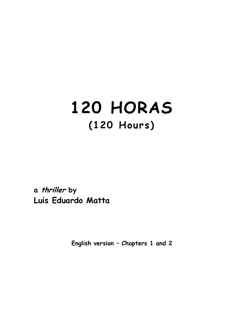## **120 HORAS (120 H ours )**

**a thriller by Luis Eduardo Matta**

**English version – Chapters 1 and 2**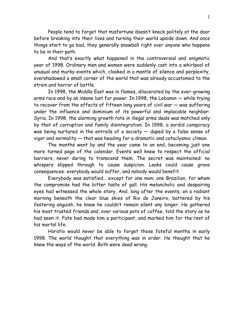People tend to forget that misfortune doesn't knock politely at the door before breaking into their lives and turning their world upside down. And once things start to go bad, they generally snowball right over anyone who happens to be in their path.

And that's exactly what happened in the controversial and enigmatic year of 1998. Ordinary men and women were suddenly cast into a whirlpool of unusual and murky events which, cloaked in a mantle of silence and perplexity, overshadowed a small corner of the world that was already accustomed to the strain and horror of battle.

In 1998, the Middle East was in flames, dilacerated by the ever-growing arms race and by an insane lust for power. In 1998, the Lebanon — while trying to recover from the effects of fifteen long years of civil war — was suffering under the influence and dominium of its powerful and implacable neighbor: Syria. In 1998, the alarming growth rate in illegal arms deals was matched only by that of corruption and family disintegration. In 1998, a sordid conspiracy was being nurtured in the entrails of a society — duped by a false sense of vigor and normality — that was heading for a dramatic and cataclysmic climax.

The months went by and the year came to an end, becoming just one more turned page of the calendar. Events well knew to respect the official barriers, never daring to transcend them. The secret was maintained: no whispers slipped through to cause suspicion. Leaks could cause grave consequences: everybody would suffer, and nobody would benefit.

Everybody was satisfied… except for one man: one Brazilian, for whom the compromise had the bitter taste of gall. His melancholic and despairing eyes had witnessed the whole story. And, long after the events, on a radiant morning beneath the clear blue skies of Rio de Janeiro, battered by his festering anguish, he knew he couldn't remain silent any longer. He gathered his most trusted friends and, over various pots of coffee, told the story as he had seen it. Fate had made him a participant, and marked him for the rest of his mortal life.

Horatio would never be able to forget those fateful months in early 1998. The world thought that everything was in order. He thought that he knew the ways of the world. Both were dead wrong.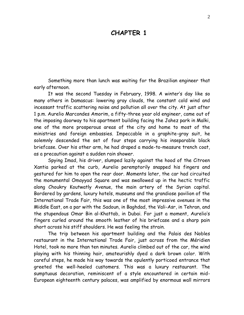## **CHAPTER 1**

Something more than lunch was waiting for the Brazilian engineer that early afternoon.

It was the second Tuesday in February, 1998. A winter's day like so many others in Damascus: lowering gray clouds, the constant cold wind and incessant traffic scattering noise and pollution all over the city. At just after 1 p.m. Aurelio Marcondes Amorim, a fifty-three year old engineer, came out of the imposing doorway to his apartment building facing the Jahez park in Malki, one of the more prosperous areas of the city and home to most of the ministries and foreign embassies. Impeccable in a graphite-gray suit, he solemnly descended the set of four steps carrying his inseparable black briefcase. Over his other arm, he had draped a made-to-measure trench coat, as a precaution against a sudden rain shower.

Spying Imad, his driver, slumped lazily against the hood of the Citroen Xantia parked at the curb, Aurelio peremptorily snapped his fingers and gestured for him to open the rear door. Moments later, the car had circuited the monumental Omayyad Square and was swallowed up in the hectic traffic along Choukry Koutwatly Avenue, the main artery of the Syrian capital. Bordered by gardens, luxury hotels, museums and the grandiose pavilion of the International Trade Fair, this was one of the most impressive avenues in the Middle East, on a par with the Sadoun, in Baghdad, the Vali-Asr, in Tehran, and the stupendous Omar Bin al-Khattab, in Dubai. For just a moment, Aurelio's fingers curled around the smooth leather of his briefcase and a sharp pain short across his stiff shoulders. He was feeling the strain.

The trip between his apartment building and the Palais des Nobles restaurant in the International Trade Fair, just across from the Méridien Hotel, took no more than ten minutes. Aurelio climbed out of the car, the wind playing with his thinning hair, amateurishly dyed a dark brown color. With careful steps, he made his way towards the opulently porticoed entrance that greeted the well-heeled customers. This was a luxury restaurant. The sumptuous decoration, reminiscent of a style encountered in certain mid-European eighteenth century palaces, was amplified by enormous wall mirrors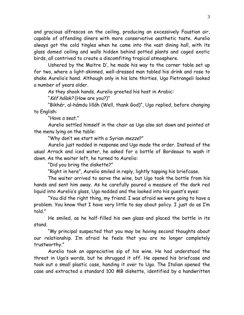and gracious alfrescos on the ceiling, producing an excessively Faustian air, capable of offending diners with more conservative aesthetic taste. Aurelio always got the cold tingles when he came into the vast dining hall, with its glass domed ceiling and walls hidden behind potted plants and caged exotic birds, all contrived to create a discomfiting tropical atmosphere.

Ushered by the Maitre D', he made his way to the corner table set up for two, where a light-skinned, well-dressed man tabled his drink and rose to shake Aurelio's hand. Although only in his late thirties, Ugo Pietrangeli looked a number of years older.

As they shook hands, Aurelio greeted his host in Arabic:

"Kéf hálak? (How are you?)"

"Bikhér, al-hámdu lilláh (Well, thank God)", Ugo replied, before changing to English:

"Have a seat"

Aurelio settled himself in the chair as Ugo also sat down and pointed at the menu lying on the table:

"Why don't we start with a Syrian *mezze*?"

Aurelio just nodded in response and Ugo made the order. Instead of the usual Arrack and iced water, he asked for a bottle of Bordeaux to wash it down. As the waiter left, he turned to Aurelio:

"Did you bring the diskette?"

"Right in here", Aurelio smiled in reply, lightly tapping his briefcase.

The waiter arrived to serve the wine, but Ugo took the bottle from his hands and sent him away. As he carefully poured a measure of the dark red liquid into Aurelio's glass, Ugo nodded and the looked into his guest's eyes:

"You did the right thing, my friend. I was afraid we were going to have a problem. You know that I have very little to say about policy. I just do as I'm told."

He smiled, as he half-filled his own glass and placed the bottle in its stand.

"My principal suspected that you may be having second thoughts about our relationship. I'm afraid he feels that you are no longer completely trustworthy."

Aurelio took an appreciative sip of his wine. He had understood the threat in Ugo's words, but he shrugged it off. He opened his briefcase and took out a small plastic case, handing it over to Ugo. The Italian opened the case and extracted a standard 100 MB diskette, identified by a handwritten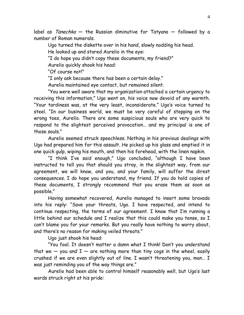label as Tanechka – the Russian diminutive for Tatyana – followed by a number of Roman numerals.

Ugo turned the diskette over in his hand, slowly nodding his head.

He looked up and stared Aurelio in the eye:

"I do hope you didn't copy these documents, my friend?"

Aurelio quickly shook his head:

"Of course not!"

"I only ask because there has been a certain delay."

Aurelio maintained eye contact, but remained silent.

"You were well aware that my organization attached a certain urgency to receiving this information," Ugo went on, his voice now devoid of any warmth. "Your tardiness was, at the very least, inconsiderate." Ugo's voice turned to steel. "In our business world, we must be very careful of stepping on the wrong toes, Aurelio. There are some suspicious souls who are very quick to respond to the slightest perceived provocation… and my principal is one of those souls."

Aurelio seemed struck speechless. Nothing in his previous dealings with Ugo had prepared him for this assault. He picked up his glass and emptied it in one quick gulp, wiping his mouth, and then his forehead, with the linen napkin.

"I think I've said enough," Ugo concluded, "although I have been instructed to tell you that should you stray, in the slightest way, from our agreement, we will know, and you, and your family, will suffer the direst consequences. I do hope you understand, my friend. If you do hold copies of these documents, I strongly recommend that you erase them as soon as possible."

Having somewhat recovered, Aurelio managed to insert some bravado into his reply: "Save your threats, Ugo. I have respected, and intend to continue respecting, the terms of our agreement. I know that I'm running a little behind our schedule and I realize that this could make you tense, so I can't blame you for your remarks. But you really have nothing to worry about, and there's no reason for making veiled threats."

Ugo just shook his head:

"You fool. It doesn't matter a damn what I think! Don't you understand that we  $-$  you and  $I -$  are nothing more than tiny cogs in the wheel, easily crushed if we are even slightly out of line. I wasn't threatening you, man… I was just reminding you of the way things are."

Aurelio had been able to control himself reasonably well, but Ugo's last words struck right at his pride: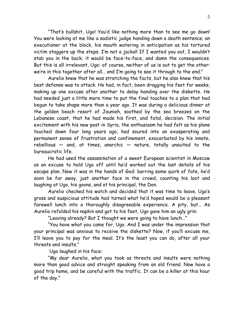"That's bullshit, Ugo! You'd like nothing more than to see me go down! You were looking at me like a sadistic judge handing down a death sentence; an executioner at the block, his mouth watering in anticipation as his tortured victim staggers up the steps. I'm not a jackal! If I wanted you out, I wouldn't stab you in the back; it would be face-to-face, and damn the consequences. But this is all irrelevant, Ugo: of course, neither of us is out to get the other: we're in this together after all… and I'm going to see it through to the end."

Aurelio knew that he was stretching the facts, but he also knew that his best defense was to attack. He had, in fact, been dragging his feet for weeks, making up one excuse after another to delay handing over the diskette. He had needed just a little more time to put the final touches to a plan that had begun to take shape more than a year ago. It was during a delicious dinner at the golden beach resort of Jounieh, soothed by the sea breezes on the Lebanese coast, that he had made his first, and fatal, decision. The initial excitement with his new post in Syria, the enthusiasm he had felt as his plane touched down four long years ago, had soured into an exasperating and permanent sense of frustration and confinement, exacerbated by his innate, rebellious  $-$  and, at times, anarchic  $-$  nature, totally unsuited to the bureaucratic life.

He had used the assassination of a sweet European scientist in Moscow as an excuse to hold Ugo off until he'd worked out the last details of his escape plan. Now it was in the hands of God: barring some quirk of fate, he'd soon be far away, just another face in the crowd, counting his loot and laughing at Ugo, his goons, and at his principal, the Don.

Aurelio checked his watch and decided that it was time to leave. Ugo's gross and suspicious attitude had turned what he'd hoped would be a pleasant farewell lunch into a thoroughly disagreeable experience. A pity, but… As Aurelio refolded his napkin and got to his feet, Ugo gave him an ugly grin:

"Leaving already? But I thought we were going to have lunch…"

"You have what you came for, Ugo. And I was under the impression that your principal was anxious to receive the diskette? Now, if you'll excuse me, I'll leave you to pay for the meal. It's the least you can do, after all your threats and insults."

Ugo laughed in his face:

"My dear Aurelio, what you took as threats and insults were nothing more than good advice and straight speaking from an old friend. Now have a good trip home, and be careful with the traffic. It can be a killer at this hour of the day."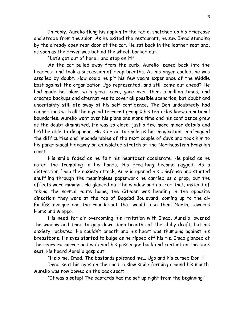In reply, Aurelio flung his napkin to the table, snatched up his briefcase and strode from the salon. As he exited the restaurant, he saw Imad standing by the already open rear door of the car. He sat back in the leather seat and, as soon as the driver was behind the wheel, barked out:

"Let's get out of here… and step on it!"

As the car pulled away from the curb, Aurelio leaned back into the headrest and took a succession of deep breaths. As his anger cooled, he was assailed by doubt. How could he pit his few years experience of the Middle East against the organization Ugo represented, and still come out ahead? He had made his plans with great care, gone over them a million times, and created backups and alternatives to cover all possible scenarios, but doubt and uncertainty still ate away at his self-confidence. The Don undoubtedly had connections with all the myriad terrorist groups: his tentacles knew no national boundaries. Aurelio went over his plans one more time and his confidence grew as the doubt diminished. He was so close: just a few more minor details and he'd be able to disappear. He started to smile as his imagination leapfrogged the difficulties and imponderables of the next couple of days and took him to his paradisiacal hideaway on an isolated stretch of the Northeastern Brazilian coast.

His smile faded as he felt his heartbeat accelerate. He paled as he noted the trembling in his hands. His breathing became ragged. As a distraction from the anxiety attack, Aurelio opened his briefcase and started shuffling through the meaningless paperwork he carried as a prop, but the effects were minimal. He glanced out the window and noticed that, instead of taking the normal route home, the Citroen was heading in the opposite direction: they were at the top of Bagdad Boulevard, coming up to the al-Firdûss mosque and the roundabout that would take them North, towards Homs and Aleppo.

His need for air overcoming his irritation with Imad, Aurelio lowered the window and tried to gulp down deep breaths of the chilly draft, but his anxiety rocketed. He couldn't breath and his heart was thumping against his breastbone. Hs eyes started to bulge as he ripped off his tie. Imad glanced at the rearview mirror and watched his passenger buck and contort on the back seat. He heard Aurelio gasp out:

"Help me, Imad. The bastards poisoned me… Ugo and his cursed Don…"

Imad kept his eyes on the road, a slow smile forming around his mouth. Aurelio was now bowed on the back seat:

"It was a setup! The bastards had me set up right from the beginning!"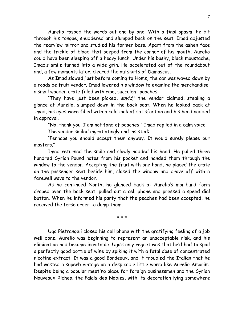Aurelio rasped the words out one by one. With a final spasm, he bit through his tongue, shuddered and slumped back on the seat. Imad adjusted the rearview mirror and studied his former boss. Apart from the ashen face and the trickle of blood that seeped from the corner of his mouth, Aurelio could have been sleeping off a heavy lunch. Under his bushy, black moustache, Imad's smile turned into a wide grin. He accelerated out of the roundabout and, a few moments later, cleared the outskirts of Damascus.

As Imad slowed just before coming to Homs, the car was waved down by a roadside fruit vendor. Imad lowered his window to examine the merchandise: a small wooden crate filled with ripe, succulent peaches.

"They have just been picked, sayid," the vendor claimed, stealing a glance at Aurelio, slumped down in the back seat. When he looked back at Imad, his eyes were filled with a cold look of satisfaction and his head nodded in approval.

"No, thank you. I am not fond of peaches," Imad replied in a calm voice.

The vendor smiled ingratiatingly and insisted:

"Perhaps you should accept them anyway. It would surely please our masters."

Imad returned the smile and slowly nodded his head. He pulled three hundred Syrian Pound notes from his pocket and handed them through the window to the vendor. Accepting the fruit with one hand, he placed the crate on the passenger seat beside him, closed the window and drove off with a farewell wave to the vendor.

As he continued North, he glanced back at Aurelio's moribund form draped over the back seat, pulled out a cell phone and pressed a speed dial button. When he informed his party that the peaches had been accepted, he received the terse order to dump them.

\* \* \*

Ugo Pietrangeli closed his cell phone with the gratifying feeling of a job well done. Aurelio was beginning to represent an unacceptable risk, and his elimination had become inevitable. Ugo's only regret was that he'd had to spoil a perfectly good bottle of wine by spiking it with a fatal dose of concentrated nicotine extract. It was a good Bordeaux, and it troubled the Italian that he had wasted a superb vintage on a despicable little worm like Aurelio Amorim. Despite being a popular meeting place for foreign businessmen and the Syrian Nouveaux Riches, the Palais des Nobles, with its decoration lying somewhere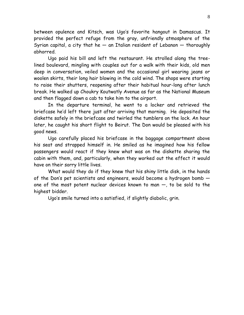between opulence and Kitsch, was Ugo's favorite hangout in Damascus. It provided the perfect refuge from the gray, unfriendly atmosphere of the Syrian capital, a city that he  $-$  an Italian resident of Lebanon  $-$  thoroughly abhorred.

Ugo paid his bill and left the restaurant. He strolled along the treelined boulevard, mingling with couples out for a walk with their kids, old men deep in conversation, veiled women and the occasional girl wearing jeans or woolen skirts, their long hair blowing in the cold wind. The shops were starting to raise their shutters, reopening after their habitual hour-long after lunch break. He walked up Choukry Koutwatly Avenue as far as the National Museum and then flagged down a cab to take him to the airport.

In the departure terminal, he went to a locker and retrieved the briefcase he'd left there just after arriving that morning. He deposited the diskette safely in the briefcase and twirled the tumblers on the lock. An hour later, he caught his short flight to Beirut. The Don would be pleased with his good news.

Ugo carefully placed his briefcase in the baggage compartment above his seat and strapped himself in. He smiled as he imagined how his fellow passengers would react if they knew what was on the diskette sharing the cabin with them, and, particularly, when they worked out the effect it would have on their sorry little lives.

What would they do if they knew that his shiny little disk, in the hands of the Don's pet scientists and engineers, would become a hydrogen bomb one of the most potent nuclear devices known to man —, to be sold to the highest bidder.

Ugo's smile turned into a satisfied, if slightly diabolic, grin.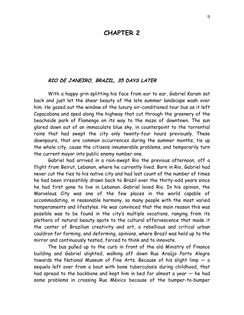## **CHAPTER 2**

## **RIO DE JANEIRO, BRAZIL, 35 DAYS LATER**

With a happy grin splitting his face from ear to ear, Gabriel Karam sat back and just let the shear beauty of the late summer landscape wash over him. He gazed out the window of the luxury air-conditioned tour bus as it left Copacabana and sped along the highway that cut through the greenery of the beachside park of Flamengo on its way to the maze of downtown. The sun glared down out of an immaculate blue sky, in counterpoint to the torrential rains that had swept the city only twenty-four hours previously. These downpours, that are common occurrences during the summer months, tie up the whole city, cause the citizens innumerable problems, and temporarily turn the current mayor into public enemy number one.

Gabriel had arrived in a rain-swept Rio the previous afternoon, off a flight from Beirut, Lebanon, where he currently lived. Born in Rio, Gabriel had never cut the ties to his native city and had lost count of the number of times he had been irresistibly drawn back to Brazil over the thirty-odd years since he had first gone to live in Lebanon. Gabriel loved Rio. In his opinion, the Marvelous City was one of the few places in the world capable of accommodating, in reasonable harmony, so many people with the most varied temperaments and lifestyles. He was convinced that the main reason this was possible was to be found in the city's multiple vocations, ranging from its plethora of natural beauty spots to the cultural effervescence that made it the center of Brazilian creativity and art, a rebellious and critical urban cauldron for forming, and deforming, opinions, where Brazil was held up to the mirror and continuously tested, forced to think and to innovate.

The bus pulled up to the curb in front of the old Ministry of Finance building and Gabriel alighted, walking off down Rua Araújo Porto Alegre towards the National Museum of Fine Arts. Because of his slight limp — a sequela left over from a bout with bone tuberculosis during childhood, that had spread to the backbone and kept him in bed for almost a year — he had some problems in crossing Rua México because of the bumper-to-bumper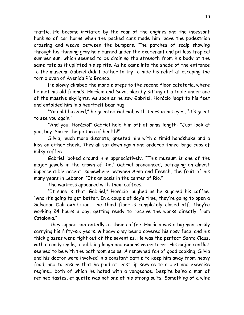traffic. He became irritated by the roar of the engines and the incessant honking of car horns when the packed cars made him leave the pedestrian crossing and weave between the bumpers. The patches of scalp showing through his thinning gray hair burned under the exuberant and pitiless tropical summer sun, which seemed to be draining the strength from his body at the same rate as it uplifted his spirits. As he came into the shade of the entrance to the museum, Gabriel didn't bother to try to hide his relief at escaping the torrid oven of Avenida Rio Branco.

He slowly climbed the marble steps to the second floor cafeteria, where he met his old friends, Horácio and Silva, placidly sitting at a table under one of the massive skylights. As soon as he saw Gabriel, Horácio leapt to his feet and enfolded him in a heartfelt bear hug.

"You old buzzard," he greeted Gabriel, with tears in his eyes, "it's great to see you again."

"And you, Horácio!" Gabriel held him off at arms length: "Just look at you, boy. You're the picture of health!"

Silvia, much more discrete, greeted him with a timid handshake and a kiss on either cheek. They all sat down again and ordered three large cups of milky coffee.

Gabriel looked around him appreciatively. "This museum is one of the major jewels in the crown of Rio," Gabriel pronounced, betraying an almost imperceptible accent, somewhere between Arab and French, the fruit of his many years in Lebanon. "It's an oasis in the center of Rio."

The waitress appeared with their coffees.

"It sure is that, Gabriel," Horácio laughed as he sugared his coffee. "And it's going to get better. In a couple of day's time, they're going to open a Salvador Dali exhibition. The third floor is completely closed off. They're working 24 hours a day, getting ready to receive the works directly from Catalonia."

They sipped contentedly at their coffee. Horácio was a big man, easily carrying his fifty-six years. A heavy gray beard covered his rosy face, and his thick glasses were right out of the seventies. He was the perfect Santa Claus, with a ready smile, a bubbling laugh and expansive gestures. His major conflict seemed to be with the bathroom scales. A renowned fan of good cooking, Silvia and his doctor were involved in a constant battle to keep him away from heavy food, and to ensure that he paid at least lip service to a diet and exercise regime… both of which he hated with a vengeance. Despite being a man of refined tastes, etiquette was not one of his strong suits. Something of a wine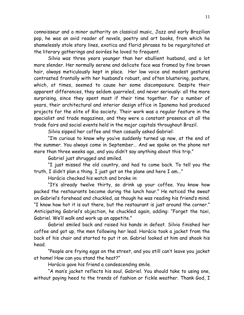connoisseur and a minor authority on classical music, Jazz and early Brazilian pop, he was an avid reader of novels, poetry and art books, from which he shamelessly stole story lines, exotica and florid phrases to be regurgitated at the literary gatherings and soirées he loved to frequent.

Silvia was three years younger than her ebullient husband, and a lot more slender. Her normally serene and delicate face was framed by fine brown hair, always meticulously kept in place. Her low voice and modest gestures contrasted frontally with her husband's robust, and often blustering, posture, which, at times, seemed to cause her some discomposure. Despite their apparent differences, they seldom quarreled, and never seriously: all the more surprising, since they spent most if their time together. For a number of years, their architectural and interior design office in Ipanema had produced projects for the elite of Rio society. Their work was a regular feature in the specialist and trade magazines, and they were a constant presence at all the trade fairs and social events held in the major capitals throughout Brazil.

Silvia sipped her coffee and then casually asked Gabriel:

"I'm curious to know why you've suddenly turned up now, at the end of the summer. You always come in September… And we spoke on the phone not more than three weeks ago, and you didn't say anything about this trip."

Gabriel just shrugged and smiled.

"I just missed the old country, and had to come back. To tell you the truth, I didn't plan a thing. I just got on the plane and here I am..."

Horácio checked his watch and broke in:

"It's already twelve thirty, so drink up your coffee. You know how packed the restaurants become during the lunch hour." He noticed the sweat on Gabriel's forehead and chuckled, as though he was reading his friend's mind. "I know how hot it is out there, but the restaurant is just around the corner." Anticipating Gabriel's objection, he chuckled again, adding: "Forget the taxi, Gabriel. We'll walk and work up an appetite."

Gabriel smiled back and raised his hands in defeat. Silvia finished her coffee and got up, the men following her lead. Horácio took a jacket from the back of his chair and started to put it on. Gabriel looked at him and shook his head.

"People are frying eggs on the street, and you still can't leave you jacket at home! How can you stand the heat?"

Horácio gave his friend a condescending smile.

"A man's jacket reflects his soul, Gabriel. You should take to using one, without paying heed to the trends of fashion or fickle weather. Thank God, I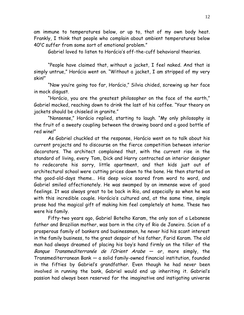am immune to temperatures below, or up to, that of my own body heat. Frankly, I think that people who complain about ambient temperatures below 40°C suffer from some sort of emotional problem."

Gabriel loved to listen to Horácio's off-the-cuff behavioral theories.

"People have claimed that, without a jacket, I feel naked. And that is simply untrue," Horácio went on. "Without a jacket, I am stripped of my very skin!"

"Now you're going too far, Horácio," Silvia chided, screwing up her face in mock disgust.

"Horácio, you are the greatest philosopher on the face of the earth," Gabriel mocked, reaching down to drink the last of his coffee. "Your theory on jackets should be chiseled in granite."

"Nonsense," Horácio replied, starting to laugh. "My only philosophy is the fruit of a sweaty coupling between the drawing board and a good bottle of red wine!"

As Gabriel chuckled at the response, Horácio went on to talk about his current projects and to discourse on the fierce competition between interior decorators. The architect complained that, with the current rise in the standard of living, every Tom, Dick and Harry contracted an interior designer to redecorate his sorry, little apartment, and that kids just out of architectural school were cutting prices down to the bone. He then started on the good-old-days theme… His deep voice soared from word to word, and Gabriel smiled affectionately. He was swamped by an immense wave of good feelings. It was always great to be back in Rio, and especially so when he was with this incredible couple. Horácio's cultured and, at the same time, simple prose had the magical gift of making him feel completely at home. These two were his family.

Fifty-two years ago, Gabriel Botelho Karam, the only son of a Lebanese father and Brazilian mother, was born in the city of Rio de Janeiro. Scion of a prosperous family of bankers and businessmen, he never hid his scant interest in the family business, to the great despair of his father, Farid Karam. The old man had always dreamed of placing his boy's hand firmly on the tiller of the Banque Transmediterranée de l'Orient Arabe — or, more simply, the Transmediterranean Bank — a solid family-owned financial institution, founded in the fifties by Gabriel's grandfather. Even though he had never been involved in running the bank, Gabriel would end up inheriting it. Gabriel's passion had always been reserved for the imaginative and instigating universe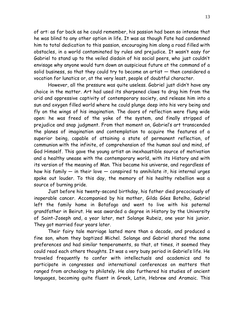of art: as far back as he could remember, his passion had been so intense that he was blind to any other option in life. It was as though Fate had condemned him to total dedication to this passion, encouraging him along a road filled with obstacles, in a world contaminated by rules and prejudice. It wasn't easy for Gabriel to stand up to the veiled disdain of his social peers, who just couldn't envisage why anyone would turn down an auspicious future at the command of a solid business, so that they could try to become an artist  $-$  then considered a vocation for lunatics or, at the very least, people of doubtful character.

However, all the pressure was quite useless. Gabriel just didn't have any choice in the matter. Art had used its sharpened claws to drag him from the arid and oppressive captivity of contemporary society, and release him into a sun and oxygen filled world where he could plunge deep into his very being and fly on the wings of his imagination. The doors of reflection were flung wide open: he was freed of the yoke of the system, and finally stripped of prejudice and snap judgment. From that moment on, Gabriel's art transcended the planes of imagination and contemplation to acquire the features of a superior being, capable of attaining a state of permanent reflection, of communion with the infinite, of comprehension of the human soul and mind, of God Himself. This gave the young artist an inexhaustible source of motivation and a healthy unease with the contemporary world, with its History and with its version of the meaning of Man. This became his universe, and regardless of how his family  $-$  in their love  $-$  conspired to annihilate it, his internal urges spoke out louder. To this day, the memory of his healthy rebellion was a source of burning pride.

Just before his twenty-second birthday, his father died precociously of inoperable cancer. Accompanied by his mother, Gilda Góes Botelho, Gabriel left the family home in Botafogo and went to live with his paternal grandfather in Beirut. He was awarded a degree in History by the University of Saint-Joseph and, a year later, met Solange Rubeiz, one year his junior. They got married four years later.

Their fairy tale marriage lasted more than a decade, and produced a fine son, whom they baptized Michel. Solange and Gabriel shared the same preferences and had similar temperaments, so that, at times, it seemed they could read each others thoughts. It was a very busy period in Gabriel's life. He traveled frequently to confer with intellectuals and academics and to participate in congresses and international conferences on matters that ranged from archeology to philately. He also furthered his studies of ancient languages, becoming quite fluent in Greek, Latin, Hebrew and Aramaic. This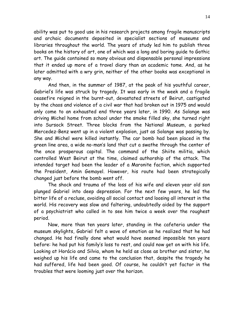ability was put to good use in his research projects among fragile manuscripts and archaic documents deposited in specialist sections of museums and libraries throughout the world. The years of study led him to publish three books on the history of art, one of which was a long and boring guide to Gothic art. The guide contained so many obvious and dispensable personal impressions that it ended up more of a travel diary than an academic tome. And, as he later admitted with a wry grin, neither of the other books was exceptional in any way.

And then, in the summer of 1987, at the peak of his youthful career, Gabriel's life was struck by tragedy. It was early in the week and a fragile ceasefire reigned in the burnt-out, devastated streets of Beirut, castigated by the chaos and violence of a civil war that had broken out in 1975 and would only come to an exhausted end three years later, in 1990. As Solange was driving Michel home from school under the smoke filled sky, she turned right into Sursock Street. Three blocks from the National Museum, a parked Mercedez-Benz went up in a violent explosion, just as Solange was passing by. She and Michel were killed instantly. The car bomb had been placed in the green line area, a wide no-man's land that cut a swathe through the center of the once prosperous capital. The command of the Shiite militia, which controlled West Beirut at the time, claimed authorship of the attack. The intended target had been the leader of a Maronite faction, which supported the President, Amin Gemayel. However, his route had been strategically changed just before the bomb went off.

The shock and trauma of the loss of his wife and eleven year old son plunged Gabriel into deep depression. For the next few years, he led the bitter life of a recluse, avoiding all social contact and loosing all interest in the world. His recovery was slow and faltering, undoubtedly aided by the support of a psychiatrist who called in to see him twice a week over the roughest period.

Now, more than ten years later, standing in the cafeteria under the museum skylights, Gabriel felt a wave of emotion as he realized that he had changed. He had finally done what would have seemed impossible ten years before: he had put his family's loss to rest, and could now get on with his life. Looking at Horácio and Silvia, whom he held as close as brother and sister, he weighed up his life and came to the conclusion that, despite the tragedy he had suffered, life had been good. Of course, he couldn't yet factor in the troubles that were looming just over the horizon.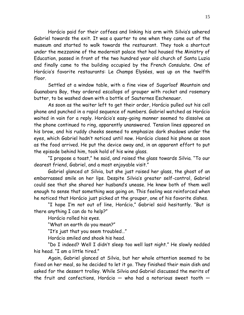Horácio paid for their coffees and linking his arm with Silvia's ushered Gabriel towards the exit. It was a quarter to one when they came out of the museum and started to walk towards the restaurant. They took a shortcut under the mezzanine of the modernist palace that had housed the Ministry of Education, passed in front of the two hundred year old church of Santa Luzia and finally came to the building occupied by the French Consulate. One of Horácio's favorite restaurants: Le Champs Elysées, was up on the twelfth floor.

Settled at a window table, with a fine view of Sugarloaf Mountain and Guanabara Bay, they ordered escallops of grouper with rocket and rosemary butter, to be washed down with a bottle of Sauternes Eschenauer.

As soon as the waiter left to get their order, Horácio pulled out his cell phone and punched in a rapid sequence of numbers. Gabriel watched as Horácio waited in vain for a reply. Horácio's easy-going manner seemed to dissolve as the phone continued to ring, apparently unanswered. Tension lines appeared on his brow, and his ruddy cheeks seemed to emphasize dark shadows under the eyes, which Gabriel hadn't noticed until now. Horácio closed his phone as soon as the food arrived. He put the device away and, in an apparent effort to put the episode behind him, took hold of his wine glass.

"I propose a toast," he said, and raised the glass towards Silvia. "To our dearest friend, Gabriel, and a most enjoyable visit."

Gabriel glanced at Silvia, but she just raised her glass, the ghost of an embarrassed smile on her lips. Despite Silvia's greater self-control, Gabriel could see that she shared her husband's unease. He knew both of them well enough to sense that something was going on. This feeling was reinforced when he noticed that Horácio just picked at the grouper, one of his favorite dishes.

"I hope I'm not out of line, Horácio," Gabriel said hesitantly. "But is there anything I can do to help?"

Horácio rolled his eyes.

"What on earth do you mean?"

"It's just that you seem troubled…"

Horácio smiled and shook his head.

"Do I indeed? Well I didn't sleep too well last night." He slowly nodded his head. "I am a little tired."

Again, Gabriel glanced at Silvia, but her whole attention seemed to be fixed on her meal, so he decided to let it go. They finished their main dish and asked for the dessert trolley. While Silvia and Gabriel discussed the merits of the fruit and confections, Horácio — who had a notorious sweet tooth —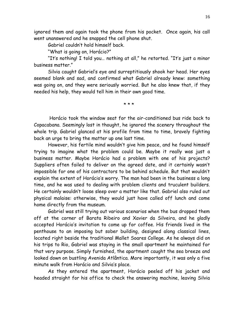ignored them and again took the phone from his pocket. Once again, his call went unanswered and he snapped the cell phone shut.

Gabriel couldn't hold himself back.

"What is going on, Horácio?"

"It's nothing! I told you… nothing at all," he retorted. "It's just a minor business matter."

Silvia caught Gabriel's eye and surreptitiously shook her head. Her eyes seemed blank and sad, and confirmed what Gabriel already knew: something was going on, and they were seriously worried. But he also knew that, if they needed his help, they would tell him in their own good time.

\* \* \*

Horácio took the window seat for the air-conditioned bus ride back to Copacabana. Seemingly lost in thought, he ignored the scenery throughout the whole trip. Gabriel glanced at his profile from time to time, bravely fighting back an urge to bring the matter up one last time.

However, his fertile mind wouldn't give him peace, and he found himself trying to imagine what the problem could be. Maybe it really was just a business matter. Maybe Horácio had a problem with one of his projects? Suppliers often failed to deliver on the agreed date, and it certainly wasn't impossible for one of his contractors to be behind schedule. But that wouldn't explain the extent of Horácio's worry. The man had been in the business a long time, and he was used to dealing with problem clients and truculent builders. He certainly wouldn't loose sleep over a matter like that. Gabriel also ruled out physical malaise: otherwise, they would just have called off lunch and come home directly from the museum.

Gabriel was still trying out various scenarios when the bus dropped them off at the corner of Barata Ribeiro and Xavier da Silveira, and he gladly accepted Horácio's invitation to come up for coffee. His friends lived in the penthouse to an imposing but sober building, designed along classical lines, located right beside the traditional Mallet Soares College. As he always did on his trips to Rio, Gabriel was staying in the small apartment he maintained for that very purpose. Simply furnished, the apartment caught the sea breeze and looked down on bustling Avenida Atlântica. More importantly, it was only a five minute walk from Horácio and Silvia's place.

As they entered the apartment, Horácio peeled off his jacket and headed straight for his office to check the answering machine, leaving Silvia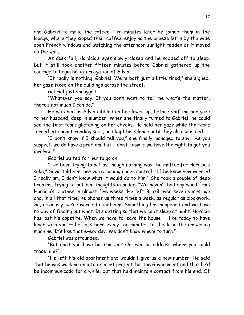and Gabriel to make the coffee. Ten minutes later he joined them in the lounge, where they sipped their coffee, enjoying the breeze let in by the wide open French windows and watching the afternoon sunlight redden as it moved up the wall.

As dusk fell, Horácio's eyes slowly closed and he nodded off to sleep. But it still took another fifteen minutes before Gabriel gathered up the courage to begin his interrogation of Silvia.

"It really is nothing, Gabriel. We're both just a little tired," she sighed, her gaze fixed on the buildings across the street.

Gabriel just shrugged.

"Whatever you say. If you don't want to tell me what's the matter, there's not much I can do."

He watched as Silvia nibbled on her lower lip, before shifting her gaze to her husband, deep in slumber. When she finally turned to Gabriel, he could see the first tears glistening on her cheeks. He held her gaze while the tears turned into heart-rending sobs, and kept his silence until they also subsided.

"I don't know if I should tell you," she finally managed to say. "As you suspect, we do have a problem, but I don't know if we have the right to get you involved."

Gabriel waited for her to go on.

"I've been trying to act as though nothing was the matter for Horácio's sake," Silvia told him, her voice coming under control. "If he knew how worried I really am, I don't know what it would do to him." She took a couple of deep breaths, trying to put her thoughts in order. "We haven't had any word from Horácio's brother in almost five weeks. He left Brazil over seven years ago and, in all that time, he phones us three times a week, as regular as clockwork. So, obviously, we're worried about him. Something has happened and we have no way of finding out what. It's getting so that we can't sleep at night. Horácio has lost his appetite. When we have to leave the house — like today to have lunch with you — he calls here every ten minutes to check on the answering machine. It's like that every day. We don't know where to turn."

Gabriel was astounded.

"But don't you have his number? Or even an address where you could trace him?"

"He left his old apartment and wouldn't give us a new number. He said that he was working on a top-secret project for the Government and that he'd be incommunicado for a while, but that he'd maintain contact from his end. Of